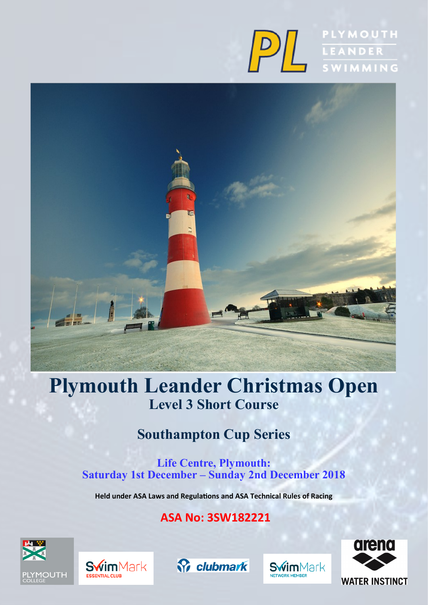



# **Plymouth Leander Christmas Open Level 3 Short Course**

## **Southampton Cup Series**

**Life Centre, Plymouth: Saturday 1st December – Sunday 2nd December 2018**

**Held under ASA Laws and Regulations and ASA Technical Rules of Racing**

## **ASA No: 3SW182221**









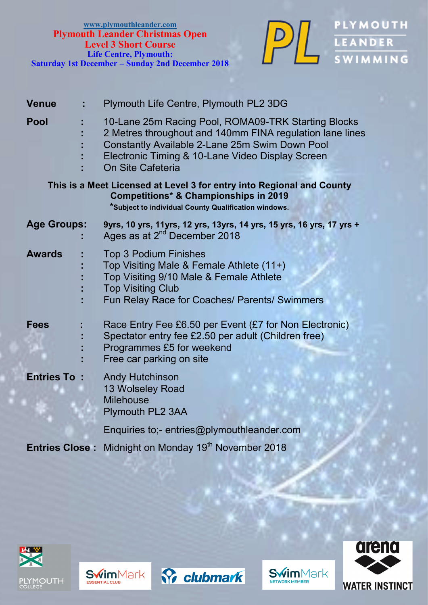

DE LEANDER

| <b>Venue</b>          | Plymouth Life Centre, Plymouth PL2 3DG                                                                                                                                                                                                     |
|-----------------------|--------------------------------------------------------------------------------------------------------------------------------------------------------------------------------------------------------------------------------------------|
| <b>Pool</b>           | 10-Lane 25m Racing Pool, ROMA09-TRK Starting Blocks<br>2 Metres throughout and 140mm FINA regulation lane lines<br>Constantly Available 2-Lane 25m Swim Down Pool<br>Electronic Timing & 10-Lane Video Display Screen<br>On Site Cafeteria |
|                       | This is a Meet Licensed at Level 3 for entry into Regional and County<br><b>Competitions* &amp; Championships in 2019</b><br>*Subject to individual County Qualification windows.                                                          |
| <b>Age Groups:</b>    | 9yrs, 10 yrs, 11yrs, 12 yrs, 13yrs, 14 yrs, 15 yrs, 16 yrs, 17 yrs +<br>Ages as at 2 <sup>nd</sup> December 2018                                                                                                                           |
| <b>Awards</b>         | <b>Top 3 Podium Finishes</b><br>Top Visiting Male & Female Athlete (11+)<br>Top Visiting 9/10 Male & Female Athlete<br><b>Top Visiting Club</b><br>Fun Relay Race for Coaches/ Parents/ Swimmers                                           |
| <b>Fees</b>           | Race Entry Fee £6.50 per Event (£7 for Non Electronic)<br>Spectator entry fee £2.50 per adult (Children free)<br>Programmes £5 for weekend<br>Free car parking on site                                                                     |
| <b>Entries To:</b>    | <b>Andy Hutchinson</b><br>13 Wolseley Road<br><b>Milehouse</b><br>Plymouth PL2 3AA                                                                                                                                                         |
|                       | Enquiries to;- entries@plymouthleander.com                                                                                                                                                                                                 |
| <b>Entries Close:</b> | Midnight on Monday 19 <sup>th</sup> November 2018                                                                                                                                                                                          |









**Swim**Mark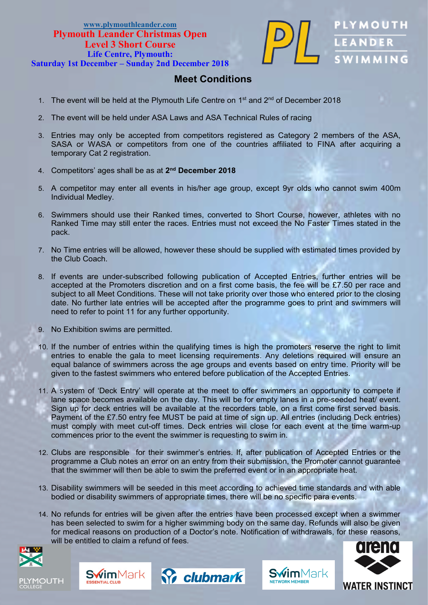### **[www.plymouthleander.com](http://www.plymouth-leander.co.uk) Plymouth Leander Christmas Open Level 3 Short Course Life Centre, Plymouth:**



**Saturday 1st December – Sunday 2nd December 2018**

### **Meet Conditions**

- 1. The event will be held at the Plymouth Life Centre on  $1<sup>st</sup>$  and  $2<sup>nd</sup>$  of December 2018
- 2. The event will be held under ASA Laws and ASA Technical Rules of racing
- 3. Entries may only be accepted from competitors registered as Category 2 members of the ASA, SASA or WASA or competitors from one of the countries affiliated to FINA after acquiring a temporary Cat 2 registration.
- 4. Competitors' ages shall be as at **2 nd December 2018**
- 5. A competitor may enter all events in his/her age group, except 9yr olds who cannot swim 400m Individual Medley.
- 6. Swimmers should use their Ranked times, converted to Short Course, however, athletes with no Ranked Time may still enter the races. Entries must not exceed the No Faster Times stated in the pack.
- 7. No Time entries will be allowed, however these should be supplied with estimated times provided by the Club Coach.
- 8. If events are under-subscribed following publication of Accepted Entries, further entries will be accepted at the Promoters discretion and on a first come basis, the fee will be £7.50 per race and subject to all Meet Conditions. These will not take priority over those who entered prior to the closing date. No further late entries will be accepted after the programme goes to print and swimmers will need to refer to point 11 for any further opportunity.
- 9. No Exhibition swims are permitted.
- 10. If the number of entries within the qualifying times is high the promoters reserve the right to limit entries to enable the gala to meet licensing requirements. Any deletions required will ensure an equal balance of swimmers across the age groups and events based on entry time. Priority will be given to the fastest swimmers who entered before publication of the Accepted Entries.
- 11. A system of 'Deck Entry' will operate at the meet to offer swimmers an opportunity to compete if lane space becomes available on the day. This will be for empty lanes in a pre-seeded heat/ event. Sign up for deck entries will be available at the recorders table, on a first come first served basis. Payment of the £7.50 entry fee MUST be paid at time of sign up. All entries (including Deck entries) must comply with meet cut-off times. Deck entries will close for each event at the time warm-up commences prior to the event the swimmer is requesting to swim in.
- 12. Clubs are responsible for their swimmer's entries. If, after publication of Accepted Entries or the programme a Club notes an error on an entry from their submission, the Promoter cannot guarantee that the swimmer will then be able to swim the preferred event or in an appropriate heat.
- 13. Disability swimmers will be seeded in this meet according to achieved time standards and with able bodied or disability swimmers of appropriate times, there will be no specific para events.
- 14. No refunds for entries will be given after the entries have been processed except when a swimmer has been selected to swim for a higher swimming body on the same day. Refunds will also be given for medical reasons on production of a Doctor's note. Notification of withdrawals, for these reasons, will be entitled to claim a refund of fees.









**Swim**Mark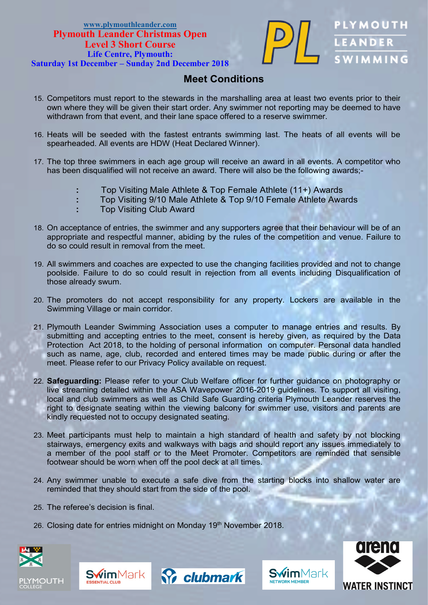

LEANDER

### **Meet Conditions**

- 15. Competitors must report to the stewards in the marshalling area at least two events prior to their own where they will be given their start order. Any swimmer not reporting may be deemed to have withdrawn from that event, and their lane space offered to a reserve swimmer.
- 16. Heats will be seeded with the fastest entrants swimming last. The heats of all events will be spearheaded. All events are HDW (Heat Declared Winner).
- 17. The top three swimmers in each age group will receive an award in all events. A competitor who has been disqualified will not receive an award. There will also be the following awards;-
	- **:** Top Visiting Male Athlete & Top Female Athlete (11+) Awards
	- **:** Top Visiting 9/10 Male Athlete & Top 9/10 Female Athlete Awards
	- **:** Top Visiting Club Award
- 18. On acceptance of entries, the swimmer and any supporters agree that their behaviour will be of an appropriate and respectful manner, abiding by the rules of the competition and venue. Failure to do so could result in removal from the meet.
- 19. All swimmers and coaches are expected to use the changing facilities provided and not to change poolside. Failure to do so could result in rejection from all events including Disqualification of those already swum.
- 20. The promoters do not accept responsibility for any property. Lockers are available in the Swimming Village or main corridor.
- 21. Plymouth Leander Swimming Association uses a computer to manage entries and results. By submitting and accepting entries to the meet, consent is hereby given, as required by the Data Protection Act 2018, to the holding of personal information on computer. Personal data handled such as name, age, club, recorded and entered times may be made public during or after the meet. Please refer to our Privacy Policy available on request.
- 22. **Safeguarding:** Please refer to your Club Welfare officer for further guidance on photography or live streaming detailed within the ASA Wavepower 2016-2019 guidelines. To support all visiting, local and club swimmers as well as Child Safe Guarding criteria Plymouth Leander reserves the right to designate seating within the viewing balcony for swimmer use, visitors and parents are kindly requested not to occupy designated seating.
- 23. Meet participants must help to maintain a high standard of health and safety by not blocking stairways, emergency exits and walkways with bags and should report any issues immediately to a member of the pool staff or to the Meet Promoter. Competitors are reminded that sensible footwear should be worn when off the pool deck at all times.
- 24. Any swimmer unable to execute a safe dive from the starting blocks into shallow water are reminded that they should start from the side of the pool.
- 25. The referee's decision is final.
- 26. Closing date for entries midnight on Monday 19th November 2018.









**Swim**Mark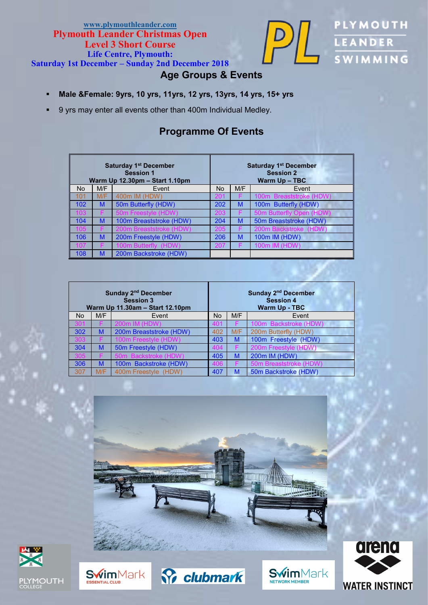### **[www.plymouthleander.com](http://www.plymouth-leander.co.uk) Plymouth Leander Christmas Open Level 3 Short Course Life Centre, Plymouth:**



PLYMOUTH LEANDER **SWIMMING** 

**Saturday 1st December – Sunday 2nd December 2018**

### **Age Groups & Events**

- **Male &Female: 9yrs, 10 yrs, 11yrs, 12 yrs, 13yrs, 14 yrs, 15+ yrs**
- 9 yrs may enter all events other than 400m Individual Medley.

### **Programme Of Events**

| <b>Saturday 1st December</b><br><b>Session 1</b><br>Warm Up 12.30pm - Start 1.10pm |     |                         |                                      | <b>Saturday 1st December</b><br><b>Session 2</b><br>Warm Up - TBC |                         |  |  |  |
|------------------------------------------------------------------------------------|-----|-------------------------|--------------------------------------|-------------------------------------------------------------------|-------------------------|--|--|--|
| <b>No</b>                                                                          | M/F | Event                   | M/F<br>No.<br>Event                  |                                                                   |                         |  |  |  |
| 101                                                                                | M/F | 400m IM (HDW)           | ZU.                                  |                                                                   | 100m Breaststroke (HDW) |  |  |  |
| 102                                                                                | M   | 50m Butterfly (HDW)     | 202                                  | M                                                                 | 100m Butterfly (HDW)    |  |  |  |
| 03                                                                                 |     | 50m Freestyle (HDW)     | 50m Butterfly Open (HDW)<br>203<br>F |                                                                   |                         |  |  |  |
| 104                                                                                | M   | 100m Breaststroke (HDW) | 50m Breaststroke (HDW)<br>204<br>M   |                                                                   |                         |  |  |  |
| 0 <sub>5</sub>                                                                     |     | 200m Breaststroke (HDW) | 205                                  |                                                                   | 200m Backstroke (HDW)   |  |  |  |
| 106                                                                                | M   | 200m Freestyle (HDW)    | 206                                  | M                                                                 | 100m IM (HDW)           |  |  |  |
|                                                                                    |     | 100m Butterfly (HDW)    | 207                                  |                                                                   | 100m IM (HDW)           |  |  |  |
| 108                                                                                | M   | 200m Backstroke (HDW)   |                                      |                                                                   |                         |  |  |  |

| Sunday 2 <sup>nd</sup> December<br><b>Session 3</b><br>Warm Up 11.30am - Start 12.10pm |     |                         |                    | Sunday 2 <sup>nd</sup> December<br><b>Session 4</b><br><b>Warm Up - TBC</b> |                        |  |  |
|----------------------------------------------------------------------------------------|-----|-------------------------|--------------------|-----------------------------------------------------------------------------|------------------------|--|--|
| <b>No</b>                                                                              | M/F | Event                   | M/F<br>No<br>Event |                                                                             |                        |  |  |
|                                                                                        |     | 200m IM (HDW)           | 401                | F                                                                           | 100m Backstroke (HDW)  |  |  |
| 302                                                                                    | M   | 200m Breaststroke (HDW) | 402                | M/F                                                                         | 200m Butterfly (HDW)   |  |  |
|                                                                                        |     | 100m Freestyle (HDW)    | 403                | M                                                                           | 100m Freestyle (HDW)   |  |  |
| 304                                                                                    | M   | 50m Freestyle (HDW)     | 404                | F                                                                           | 200m Freestyle (HDW)   |  |  |
|                                                                                        |     | 50m Backstroke (HDW     | 405                | M                                                                           | 200m IM (HDW)          |  |  |
| 306                                                                                    | M   | 100m Backstroke (HDW)   | 406                |                                                                             | 50m Breaststroke (HDW) |  |  |
| 307                                                                                    | M/F | 400m Freestyle (HDW)    | 407                | M                                                                           | 50m Backstroke (HDW)   |  |  |









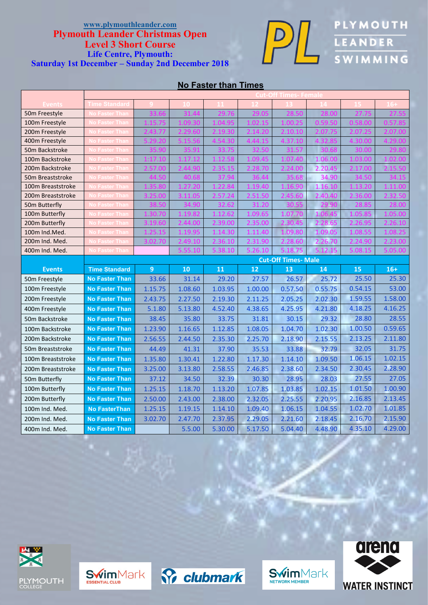

**DIE PLYMOUTH LEANDER** 

### **No Faster than Times**

| <b>Time Standard</b><br>Events<br><b>No Faster Than</b><br>50m Freestyle<br><b>Io Faster Than</b><br>100m Freestyle             |         |
|---------------------------------------------------------------------------------------------------------------------------------|---------|
|                                                                                                                                 |         |
|                                                                                                                                 |         |
|                                                                                                                                 |         |
| lo Faster Than<br>200m Freestyle                                                                                                |         |
| <b>Faster Than</b><br>400m Freestyle                                                                                            |         |
| 50m Backstroke<br><b>Faster Than</b>                                                                                            |         |
| 100m Backstroke<br><b>Faster Than</b><br>1.06.00                                                                                |         |
| 2.20.<br>200m Backstroke<br>lo Faster Than                                                                                      |         |
| 34.90<br>50m Breaststroke<br><b>lo Faster Than</b>                                                                              |         |
| 1.16.10<br><b>lo Faster Than</b><br>100m Breaststroke                                                                           |         |
| 200m Breaststroke<br><b>lo Faster Than</b><br>2,40,40                                                                           |         |
| 50m Butterfly<br><b>Faster Than</b><br>31.20                                                                                    |         |
| 100m Butterfly<br><b>Jo Faster Than</b><br>1.0<br>1.09.6<br>1 ດ:                                                                |         |
| 200m Butterfly<br><b>No Faster Than</b><br>35.00<br>2.28.6                                                                      |         |
| <b>No Faster Than</b><br>100m Ind.Med.<br>1.11.40<br>1.09.05<br>1.14.30<br>1.09.80<br>1 O <sub>2</sub>                          |         |
| No Faster Than<br>200m Ind. Med.<br>2.31.90<br>2.26.70<br>ד כח ד<br>2.36.10<br>.60<br>49.10                                     |         |
| <b>No Faster Than</b><br>400m Ind. Med.<br>5.26.10<br>10<br>5.18.75                                                             |         |
| <b>Cut-Off Times- Male</b>                                                                                                      |         |
|                                                                                                                                 |         |
| $\overline{9}$<br>12<br>15<br><b>Time Standard</b><br>10<br>11<br>13<br><b>Events</b><br>14                                     | $16+$   |
| 25.50<br>31.14<br>29.20<br>27.57<br>25.72<br><b>No Faster Than</b><br>33.66<br>26.57<br>50m Freestyle                           | 25.30   |
| 0.54.15<br><b>No Faster Than</b><br>1.15.75<br>1.08.60<br>1.03.95<br>0.55.75<br>100m Freestyle<br>1.00.00<br>0.57.50            | 53.00   |
| 1.59.55<br>2.43.75<br>2.27.50<br>2.19.30<br>2.11.25<br>2.05.25<br>2.02.30<br>200m Freestyle<br><b>No Faster Than</b>            | 1.58.00 |
| 4.18.25<br>4.52.40<br>4.38.65<br>400m Freestyle<br><b>No Faster Than</b><br>5.1.80<br>5.13.80<br>4.25.95<br>4.21.80             | 4.16.25 |
| 28.80<br>35.80<br>33.75<br>29.32<br>50m Backstroke<br><b>No Faster Than</b><br>38.45<br>31.81<br>30.15                          | 28.55   |
| 1.00.50<br>1.16.65<br>1.12.85<br>1.08.05<br>1.04.70<br>1.02.30<br>100m Backstroke<br><b>No Faster Than</b><br>1.23.90           | 0.59.65 |
| 2.13.25<br>2.44.50<br>2.35.30<br>2.25.70<br>2.18.90<br>2.15.55<br><b>No Faster Than</b><br>2.56.55<br>200m Backstroke           | 2.11.80 |
| 32.05<br>44.49<br>41.31<br>37.90<br>35.53<br>33.88<br>32.79<br><b>No Faster Than</b><br>50m Breaststroke                        | 31.75   |
| 1.06.15<br>1.35.80<br>1.30.41<br>1.22.80<br>1.17.30<br>1.14.10<br>1.09.50<br>100m Breaststroke<br><b>No Faster Than</b>         | 1.02.15 |
| 2.30.45<br>2.46.85<br>2.38.60<br>200m Breaststroke<br><b>No Faster Than</b><br>3.25.00<br>3.13.80<br>2.58.55<br>2.34.50         | 2.28.90 |
| 27.55<br>37.12<br>34.50<br>32.39<br>28.95<br>28.03<br>50m Butterfly<br><b>No Faster Than</b><br>30.30                           | 27.05   |
| 1.13.20<br>1.02.15<br>1.01.50<br>1.25.15<br>1.18.70<br>1.07.85<br>1.03.85<br>100m Butterfly<br><b>No Faster Than</b>            | 1.00.90 |
| 2.38.00<br>2.20.95<br>2.16.85<br>200m Butterfly<br><b>No Faster Than</b><br>2.50.00<br>2.32.05<br>2.25.55                       | 2.13.45 |
| 2.43.00<br>1.06.15<br>1.02.70<br>100m Ind. Med.<br><b>No FasterThan</b><br>1.25.15<br>1.19.15<br>1.14.10<br>1.04.55             | 1.01.85 |
| 1.09.40<br><b>No Faster Than</b><br>2.16.70<br>200m Ind. Med.<br>3.02.70<br>2.47.70<br>2.37.95<br>2.29.05<br>2.21.60<br>2.18.45 | 2.15.90 |









**Swim**Mark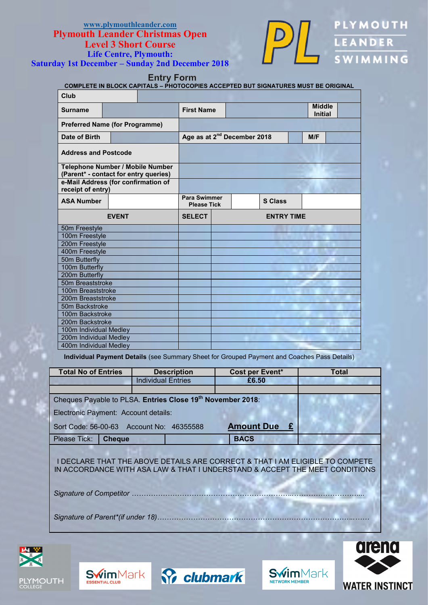

**PLYMOUTH** LEANDER

**Entry Form** 

| <b>COMPLETE IN BLOCK CAPITALS - PHOTOCOPIES ACCEPTED BUT SIGNATURES MUST BE ORIGINAL</b> |              |  |                     |                                                |  |                |  |  |                                 |  |  |
|------------------------------------------------------------------------------------------|--------------|--|---------------------|------------------------------------------------|--|----------------|--|--|---------------------------------|--|--|
| Club                                                                                     |              |  |                     |                                                |  |                |  |  |                                 |  |  |
| <b>Surname</b>                                                                           |              |  |                     | <b>First Name</b>                              |  |                |  |  | <b>Middle</b><br><b>Initial</b> |  |  |
| <b>Preferred Name (for Programme)</b>                                                    |              |  |                     |                                                |  |                |  |  |                                 |  |  |
| Date of Birth                                                                            |              |  |                     | Age as at 2 <sup>nd</sup> December 2018<br>M/F |  |                |  |  |                                 |  |  |
| <b>Address and Postcode</b>                                                              |              |  |                     |                                                |  |                |  |  |                                 |  |  |
| <b>Telephone Number / Mobile Number</b><br>(Parent* - contact for entry queries)         |              |  |                     |                                                |  |                |  |  |                                 |  |  |
| e-Mail Address (for confirmation of<br>receipt of entry)                                 |              |  |                     |                                                |  |                |  |  |                                 |  |  |
| <b>ASA Number</b>                                                                        |              |  | <b>Para Swimmer</b> | <b>Please Tick</b>                             |  | <b>S Class</b> |  |  |                                 |  |  |
|                                                                                          | <b>EVENT</b> |  | <b>SELECT</b>       | <b>ENTRY TIME</b>                              |  |                |  |  |                                 |  |  |
| 50m Freestyle                                                                            |              |  |                     |                                                |  |                |  |  |                                 |  |  |
| 100m Freestyle                                                                           |              |  |                     |                                                |  |                |  |  |                                 |  |  |
| 200m Freestyle                                                                           |              |  |                     |                                                |  |                |  |  |                                 |  |  |
| 400m Freestyle                                                                           |              |  |                     |                                                |  |                |  |  |                                 |  |  |
| 50m Butterfly                                                                            |              |  |                     |                                                |  |                |  |  |                                 |  |  |
| 100m Butterfly                                                                           |              |  |                     |                                                |  |                |  |  |                                 |  |  |
| 200m Butterfly                                                                           |              |  |                     |                                                |  |                |  |  |                                 |  |  |
| 50m Breaststroke                                                                         |              |  |                     |                                                |  |                |  |  |                                 |  |  |
| 100m Breaststroke                                                                        |              |  |                     |                                                |  |                |  |  |                                 |  |  |
| 200m Breaststroke                                                                        |              |  |                     |                                                |  |                |  |  |                                 |  |  |
| 50m Backstroke                                                                           |              |  |                     |                                                |  |                |  |  |                                 |  |  |
| 100m Backstroke                                                                          |              |  |                     |                                                |  |                |  |  |                                 |  |  |
| 200m Backstroke                                                                          |              |  |                     |                                                |  |                |  |  |                                 |  |  |
| 100m Individual Medley                                                                   |              |  |                     |                                                |  |                |  |  |                                 |  |  |
| 200m Individual Medley                                                                   |              |  |                     |                                                |  |                |  |  |                                 |  |  |
| 400m Individual Medley                                                                   |              |  |                     |                                                |  |                |  |  |                                 |  |  |

**Individual Payment Details** (see Summary Sheet for Grouped Payment and Coaches Pass Details)

| <b>Total No of Entries</b>                                             | <b>Description</b>        | Cost per Event* | Total |  |  |  |  |  |
|------------------------------------------------------------------------|---------------------------|-----------------|-------|--|--|--|--|--|
|                                                                        | <b>Individual Entries</b> | £6.50           |       |  |  |  |  |  |
|                                                                        |                           |                 |       |  |  |  |  |  |
| Cheques Payable to PLSA. Entries Close 19 <sup>th</sup> November 2018: |                           |                 |       |  |  |  |  |  |
| Electronic Payment: Account details:                                   |                           |                 |       |  |  |  |  |  |
| Sort Code: 56-00-63 Account No: 46355588                               |                           |                 |       |  |  |  |  |  |
| Please Tick:<br><b>Cheque</b>                                          |                           | <b>BACS</b>     |       |  |  |  |  |  |
|                                                                        |                           |                 |       |  |  |  |  |  |

I DECLARE THAT THE ABOVE DETAILS ARE CORRECT & THAT I AM ELIGIBLE TO COMPETE IN ACCORDANCE WITH ASA LAW & THAT I UNDERSTAND & ACCEPT THE MEET CONDITIONS

*Signature of Competitor …………………………………………………………..………………………...*

*Signature of Parent\*(if under 18)………………………………………………………………………..……*









**Swim**Mark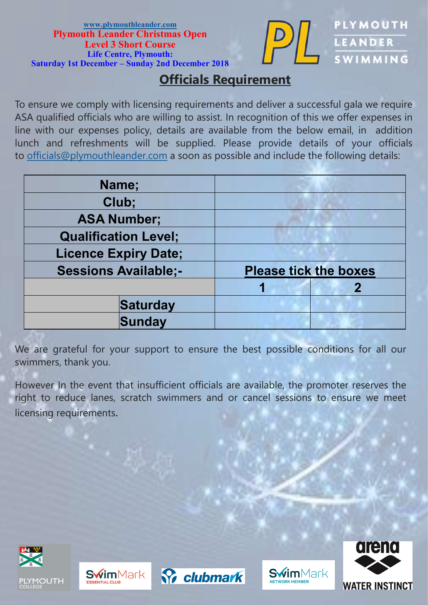

**PLYMOUTH** 

LEANDER

WIMMING

## **Officials Requirement**

To ensure we comply with licensing requirements and deliver a successful gala we require ASA qualified officials who are willing to assist. In recognition of this we offer expenses in line with our expenses policy, details are available from the below email, in addition lunch and refreshments will be supplied. Please provide details of your officials to [officials@plymouthleander.com](mailto:officials@plymouthleander.com) a soon as possible and include the following details:

| Name;                       |                              |  |
|-----------------------------|------------------------------|--|
| Club;                       |                              |  |
| <b>ASA Number;</b>          |                              |  |
| <b>Qualification Level;</b> |                              |  |
| <b>Licence Expiry Date;</b> |                              |  |
| <b>Sessions Available;-</b> | <b>Please tick the boxes</b> |  |
|                             |                              |  |
| Saturday                    |                              |  |
| Sunday                      |                              |  |

We are grateful for your support to ensure the best possible conditions for all our swimmers, thank you.

However In the event that insufficient officials are available, the promoter reserves the right to reduce lanes, scratch swimmers and or cancel sessions to ensure we meet licensing requirements.









**Swim**Mark